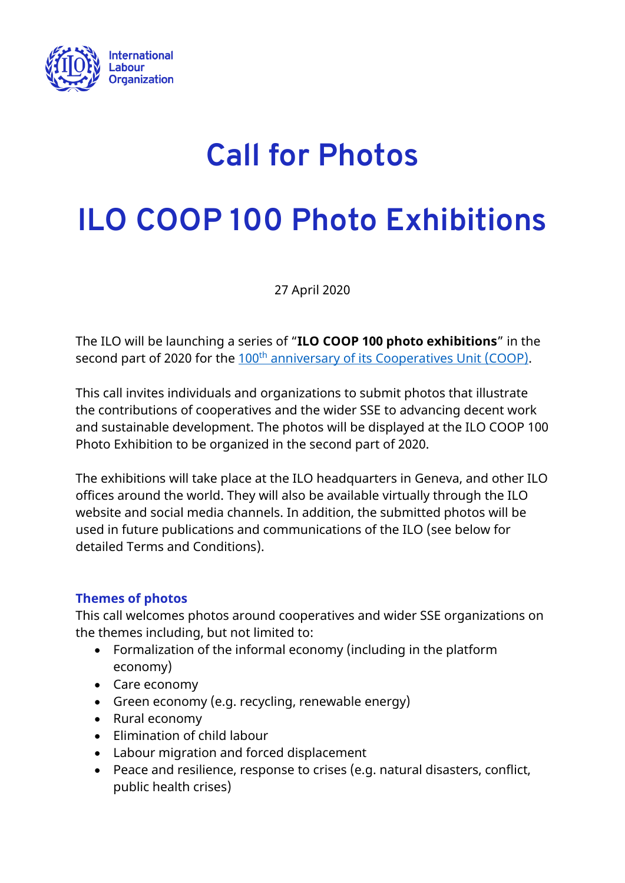

## **Call for Photos**

# **ILO COOP 100 Photo Exhibitions**

27 April 2020

The ILO will be launching a series of "**ILO COOP 100 photo exhibitions**" in the second part of 2020 for the 100<sup>th</sup> [anniversary of its Cooperatives Unit \(COOP\).](https://www.ilo.org/global/topics/cooperatives/news/WCMS_735654/lang--en/index.htm)

This call invites individuals and organizations to submit photos that illustrate the contributions of cooperatives and the wider SSE to advancing decent work and sustainable development. The photos will be displayed at the ILO COOP 100 Photo Exhibition to be organized in the second part of 2020.

The exhibitions will take place at the ILO headquarters in Geneva, and other ILO offices around the world. They will also be available virtually through the ILO website and social media channels. In addition, the submitted photos will be used in future publications and communications of the ILO (see below for detailed Terms and Conditions).

#### **Themes of photos**

This call welcomes photos around cooperatives and wider SSE organizations on the themes including, but not limited to:

- Formalization of the informal economy (including in the platform economy)
- Care economy
- Green economy (e.g. recycling, renewable energy)
- Rural economy
- Elimination of child labour
- Labour migration and forced displacement
- Peace and resilience, response to crises (e.g. natural disasters, conflict, public health crises)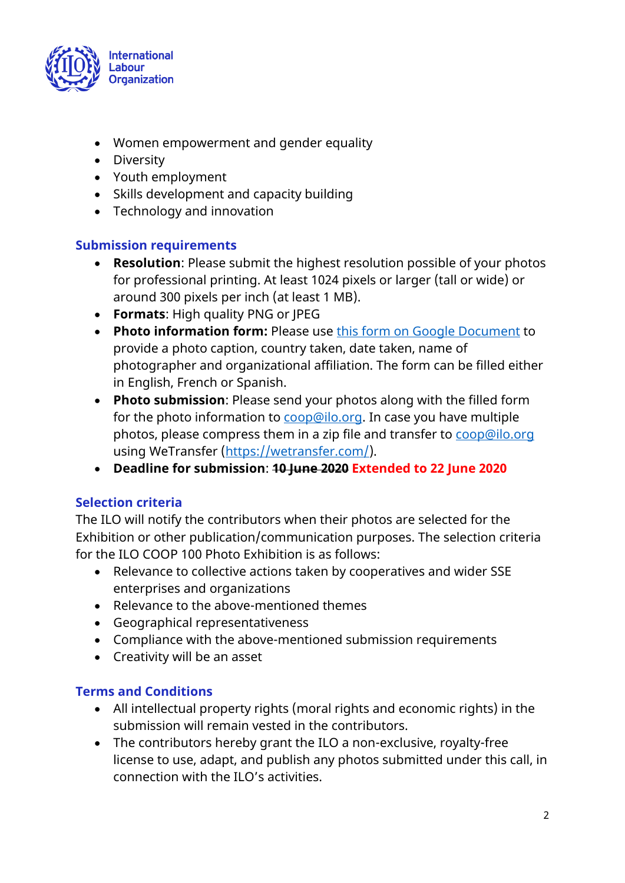

- Women empowerment and gender equality
- Diversity
- Youth employment
- Skills development and capacity building
- Technology and innovation

#### **Submission requirements**

- **Resolution**: Please submit the highest resolution possible of your photos for professional printing. At least 1024 pixels or larger (tall or wide) or around 300 pixels per inch (at least 1 MB).
- **Formats**: High quality PNG or JPEG
- **Photo information form:** Please use this [form on Google Document](https://docs.google.com/document/d/1kO9y856ri3_WNsSJ4KIPAdTAU2SrplfPnftjwEZnIzE/edit?usp=sharing) to provide a photo caption, country taken, date taken, name of photographer and organizational affiliation. The form can be filled either in English, French or Spanish.
- **Photo submission**: Please send your photos along with the filled form for the photo information to [coop@ilo.org.](mailto:coop@ilo.org) In case you have multiple photos, please compress them in a zip file and transfer to [coop@ilo.org](mailto:coop@ilo.org) using WeTransfer [\(https://wetransfer.com/\)](https://wetransfer.com/).
- **Deadline for submission**: **10 June 2020 Extended to 22 June 2020**

#### **Selection criteria**

The ILO will notify the contributors when their photos are selected for the Exhibition or other publication/communication purposes. The selection criteria for the ILO COOP 100 Photo Exhibition is as follows:

- Relevance to collective actions taken by cooperatives and wider SSE enterprises and organizations
- Relevance to the above-mentioned themes
- Geographical representativeness
- Compliance with the above-mentioned submission requirements
- Creativity will be an asset

### **Terms and Conditions**

- All intellectual property rights (moral rights and economic rights) in the submission will remain vested in the contributors.
- The contributors hereby grant the ILO a non-exclusive, royalty-free license to use, adapt, and publish any photos submitted under this call, in connection with the ILO's activities.